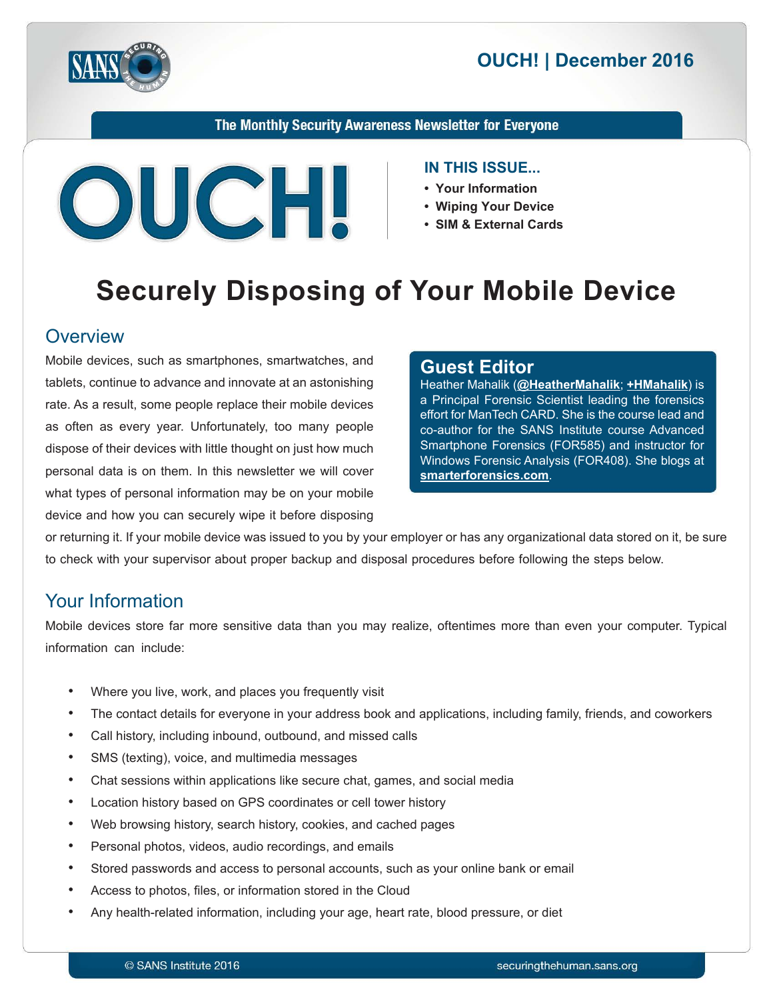



The Monthly Security Awareness Newsletter for Everyone



#### **IN THIS ISSUE...**

- Your Information
- Wiping Your Device
- SIM & External Cards

# **Securely Disposing of Your Mobile Device**

#### **Overview**

Mobile devices, such as smartphones, smartwatches, and tablets, continue to advance and innovate at an astonishing rate. As a result, some people replace their mobile devices as often as every year. Unfortunately, too many people dispose of their devices with little thought on just how much personal data is on them. In this newsletter we will cover what types of personal information may be on your mobile device and how you can securely wipe it before disposing

#### **Editor Guest**

Heather Mahalik (@[HeatherMahalik](https://twitter.com/HeatherMahalik); +HMahalik) is a Principal Forensic Scientist leading the forensics effort for ManTech CARD. She is the course lead and co-author for the SANS Institute course Advanced Smartphone Forensics (FOR585) and instructor for Windows Forensic Analysis (FOR408). She blogs at smarterforensics.com.

or returning it. If your mobile device was issued to you by your employer or has any organizational data stored on it, be sure to check with your supervisor about proper backup and disposal procedures before following the steps below.

## **Your Information**

Mobile devices store far more sensitive data than you may realize, oftentimes more than even your computer. Typical information can include:

- Where you live, work, and places you frequently visit
- The contact details for everyone in your address book and applications, including family, friends, and coworkers
- Call history, including inbound, outbound, and missed calls
- SMS (texting), voice, and multimedia messages
- Chat sessions within applications like secure chat, games, and social media
- Location history based on GPS coordinates or cell tower history
- Web browsing history, search history, cookies, and cached pages
- Personal photos, videos, audio recordings, and emails
- Stored passwords and access to personal accounts, such as your online bank or email
- Access to photos, files, or information stored in the Cloud
- Any health-related information, including your age, heart rate, blood pressure, or diet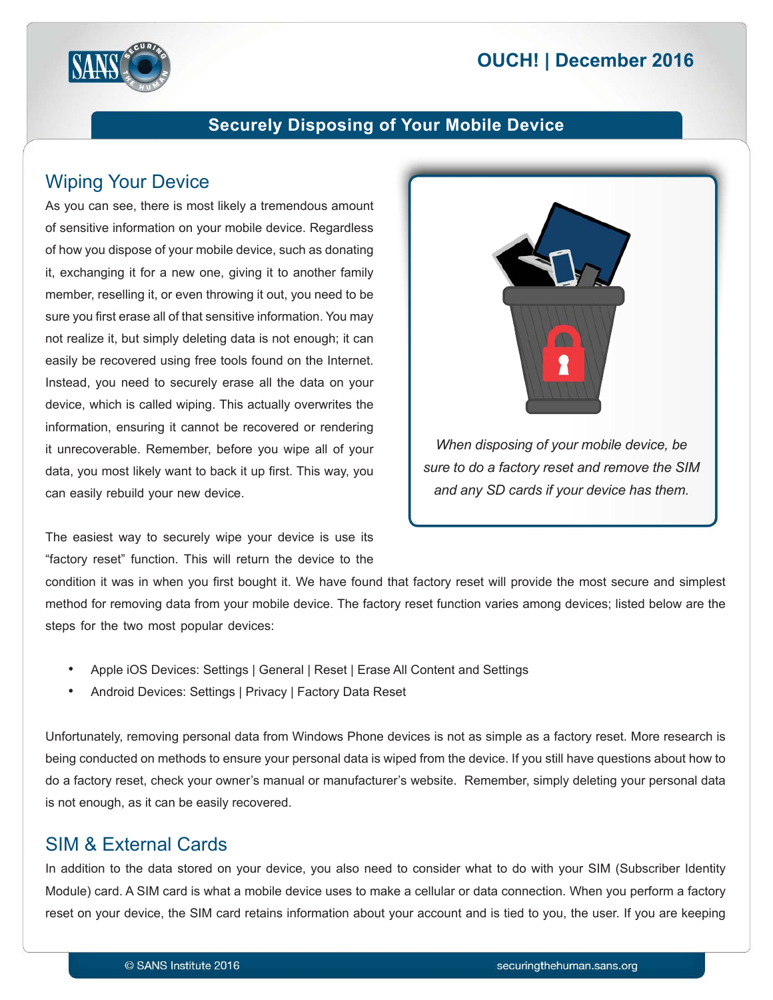# **2016 December 2016**



#### **Securely Disposing of Your Mobile Device**

## **Wiping Your Device**

As you can see, there is most likely a tremendous amount of sensitive information on your mobile device. Regardless of how you dispose of your mobile device, such as donating it, exchanging it for a new one, giving it to another family member, reselling it, or even throwing it out, you need to be sure you first erase all of that sensitive information. You may not realize it, but simply deleting data is not enough; it can easily be recovered using free tools found on the Internet. Instead, you need to securely erase all the data on your device, which is called wiping. This actually overwrites the information, ensuring it cannot be recovered or rendering it unrecoverable. Remember, before you wipe all of your data, you most likely want to back it up first. This way, you can easily rebuild your new device.

The easiest way to securely wipe your device is use its "factory reset" function. This will return the device to the



*sure to do a factory reset and remove the SIM and any SD cards if your device has them.* 

condition it was in when you first bought it. We have found that factory reset will provide the most secure and simplest method for removing data from your mobile device. The factory reset function varies among devices; listed below are the steps for the two most popular devices:

- Apple iOS Devices: Settings | General | Reset | Erase All Content and Settings
- Android Devices: Settings | Privacy | Factory Data Reset

Unfortunately, removing personal data from Windows Phone devices is not as simple as a factory reset. More research is being conducted on methods to ensure your personal data is wiped from the device. If you still have questions about how to do a factory reset, check your owner's manual or manufacturer's website. Remember, simply deleting your personal data is not enough, as it can be easily recovered.

## SIM & External Cards

In addition to the data stored on your device, you also need to consider what to do with your SIM (Subscriber Identity Module) card. A SIM card is what a mobile device uses to make a cellular or data connection. When you perform a factory reset on your device, the SIM card retains information about your account and is tied to you, the user. If you are keeping